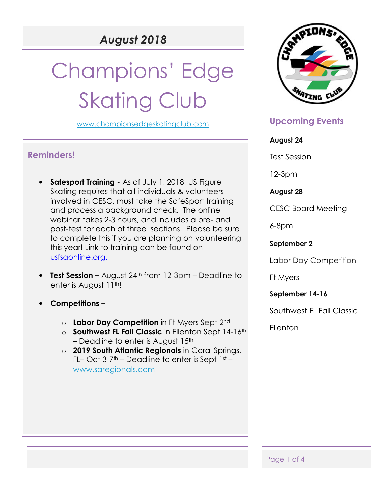# *August 2018*

# Champions' Edge **Skating Club**

www.championsedgeskatingclub.com

## **Reminders!**

- **Safesport Training** As of July 1, 2018, US Figure Skating requires that all individuals & volunteers involved in CESC, must take the SafeSport training and process a background check. The online webinar takes 2-3 hours, and includes a pre- and post-test for each of three sections. Please be sure to complete this if you are planning on volunteering this year! Link to training can be found on usfsaonline.org.
- **Test Session –** August 24<sup>th</sup> from 12-3pm Deadline to enter is August 11<sup>th</sup>!
- **Competitions** 
	- o **Labor Day Competition** in Ft Myers Sept 2nd
	- o **Southwest FL Fall Classic** in Ellenton Sept 14-16th – Deadline to enter is August  $15<sup>th</sup>$
	- o **2019 South Atlantic Regionals** in Coral Springs, FL– Oct  $3-7$ <sup>th</sup> – Deadline to enter is Sept  $1st$  – www.saregionals.com



# **Upcoming Events**

#### **August 24**

Test Session

12-3pm

#### **August 28**

CESC Board Meeting

6-8pm

#### **September 2**

Labor Day Competition

Ft Myers

**September 14-16** 

Southwest FL Fall Classic

Ellenton

Page 1 of 4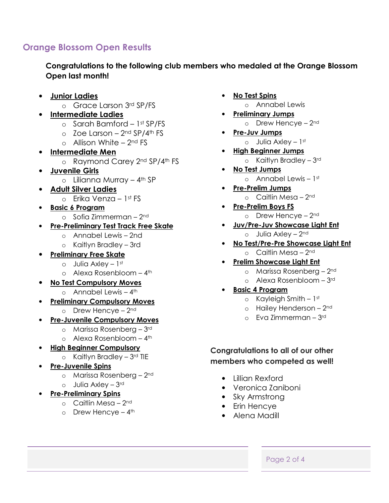# **Orange Blossom Open Results**

**Congratulations to the following club members who medaled at the Orange Blossom Open last month!** 

- **Junior Ladies** 
	- o Grace Larson 3rd SP/FS
- **Intermediate Ladies** 
	- o Sarah Bamford 1st SP/FS
	- $\circ$  Zoe Larson 2<sup>nd</sup> SP/4<sup>th</sup> FS
	- $\circ$  Allison White 2<sup>nd</sup> FS
- **Intermediate Men** 
	- o Raymond Carey 2<sup>nd</sup> SP/4<sup>th</sup> FS
- **Juvenile Girls** 
	- $\circ$  Lilianna Murray 4<sup>th</sup> SP
- **Adult Silver Ladies** 
	- $\circ$  Erika Venza 1st FS
- **Basic 6 Program** 
	- $\circ$  Sofia Zimmerman 2<sup>nd</sup>
- **Pre-Preliminary Test Track Free Skate** 
	- o Annabel Lewis 2nd
	- o Kaitlyn Bradley 3rd
- **Preliminary Free Skate**
	- $\circ$  Julia Axley 1st
	- o Alexa Rosenbloom 4th
- **No Test Compulsory Moves**
	- $\circ$  Annabel Lewis 4<sup>th</sup>
- **Preliminary Compulsory Moves** 
	- $o$  Drew Hencye 2<sup>nd</sup>
- **Pre-Juvenile Compulsory Moves** 
	- o Marissa Rosenberg 3rd
	- $\circ$  Alexa Rosenbloom 4<sup>th</sup>
- **High Beginner Compulsory** 
	- $\circ$  Kaitlyn Bradley 3rd TIE
- **Pre-Juvenile Spins** 
	- o Marissa Rosenberg 2nd
	- o Julia Axley 3rd
- **Pre-Preliminary Spins** 
	- $\circ$  Caitlin Mesa 2<sup>nd</sup>
	- o Drew Hencye  $-4$ <sup>th</sup>
- **No Test Spins** 
	- o Annabel Lewis
- **Preliminary Jumps**  o Drew Hencye - 2<sup>nd</sup>
- **Pre-Juv Jumps** 
	- $\circ$  Julia Axley 1st
- **High Beginner Jumps**   $\circ$  Kaitlyn Bradley - 3rd
- **No Test Jumps**   $\circ$  Annabel Lewis – 1st
- **Pre-Prelim Jumps**   $\circ$  Caitlin Mesa – 2<sup>nd</sup>
- **Pre-Prelim Boys FS**  o Drew Hencye - 2<sup>nd</sup>
	-
- **Juv/Pre-Juv Showcase Light Ent** 
	- $\circ$  Julia Axley 2<sup>nd</sup>
- **No Test/Pre-Pre Showcase Light Ent** 
	- $\circ$  Caitlin Mesa 2<sup>nd</sup>
- **Prelim Showcase Light Ent** 
	- o Marissa Rosenberg 2nd
	- o Alexa Rosenbloom 3rd
- **Basic 4 Program** 
	- $\circ$  Kayleigh Smith 1st
	- o Hailey Henderson 2nd
	- o Eva Zimmerman 3rd

#### **Congratulations to all of our other members who competed as well!**

- Lillian Rexford
- Veronica Zaniboni
- Sky Armstrong
- Erin Hencye
- Alena Madill
	- Page 2 of 4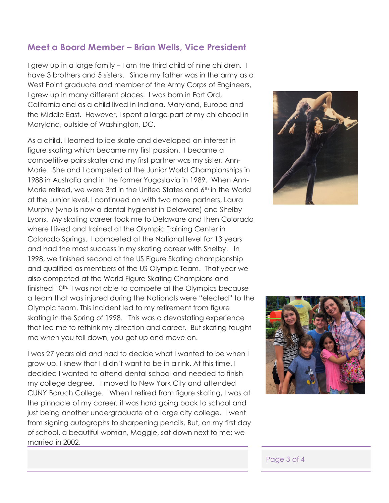### **Meet a Board Member – Brian Wells, Vice President**

I grew up in a large family – I am the third child of nine children. I have 3 brothers and 5 sisters. Since my father was in the army as a West Point graduate and member of the Army Corps of Engineers, I grew up in many different places. I was born in Fort Ord, California and as a child lived in Indiana, Maryland, Europe and the Middle East. However, I spent a large part of my childhood in Maryland, outside of Washington, DC.

As a child, I learned to ice skate and developed an interest in figure skating which became my first passion. I became a competitive pairs skater and my first partner was my sister, Ann-Marie. She and I competed at the Junior World Championships in 1988 in Australia and in the former Yugoslavia in 1989. When Ann-Marie retired, we were 3rd in the United States and 6th in the World at the Junior level. I continued on with two more partners, Laura Murphy (who is now a dental hygienist in Delaware) and Shelby Lyons. My skating career took me to Delaware and then Colorado where I lived and trained at the Olympic Training Center in Colorado Springs. I competed at the National level for 13 years and had the most success in my skating career with Shelby. In 1998, we finished second at the US Figure Skating championship and qualified as members of the US Olympic Team. That year we also competed at the World Figure Skating Champions and finished 10<sup>th.</sup> I was not able to compete at the Olympics because a team that was injured during the Nationals were "elected" to the Olympic team. This incident led to my retirement from figure skating in the Spring of 1998. This was a devastating experience that led me to rethink my direction and career. But skating taught me when you fall down, you get up and move on.

I was 27 years old and had to decide what I wanted to be when I grow-up. I knew that I didn't want to be in a rink. At this time, I decided I wanted to attend dental school and needed to finish my college degree. I moved to New York City and attended CUNY Baruch College. When I retired from figure skating, I was at the pinnacle of my career; it was hard going back to school and just being another undergraduate at a large city college. I went from signing autographs to sharpening pencils. But, on my first day of school, a beautiful woman, Maggie, sat down next to me; we married in 2002.





#### Page 3 of 4